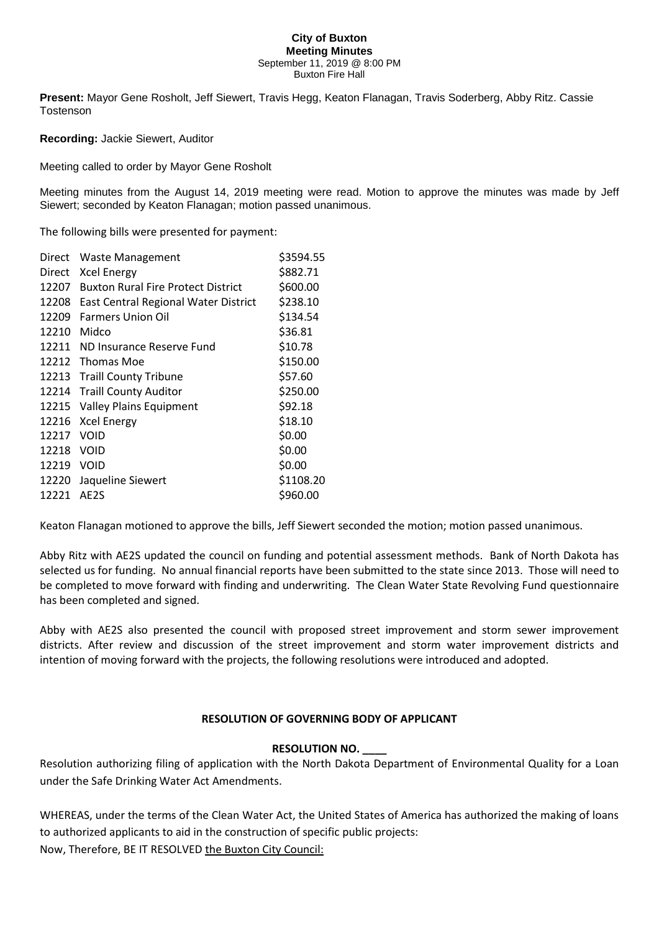#### **City of Buxton Meeting Minutes** September 11, 2019 @ 8:00 PM Buxton Fire Hall

**Present:** Mayor Gene Rosholt, Jeff Siewert, Travis Hegg, Keaton Flanagan, Travis Soderberg, Abby Ritz. Cassie Tostenson

**Recording:** Jackie Siewert, Auditor

Meeting called to order by Mayor Gene Rosholt

Meeting minutes from the August 14, 2019 meeting were read. Motion to approve the minutes was made by Jeff Siewert; seconded by Keaton Flanagan; motion passed unanimous.

The following bills were presented for payment:

| Direct | <b>Waste Management</b>                   | \$3594.55 |
|--------|-------------------------------------------|-----------|
| Direct | <b>Xcel Energy</b>                        | \$882.71  |
| 12207  | <b>Buxton Rural Fire Protect District</b> | \$600.00  |
| 12208  | East Central Regional Water District      | \$238.10  |
| 12209  | <b>Farmers Union Oil</b>                  | \$134.54  |
| 12210  | Midco                                     | \$36.81   |
| 12211  | ND Insurance Reserve Fund                 | \$10.78   |
| 12212  | <b>Thomas Moe</b>                         | \$150.00  |
| 12213  | <b>Traill County Tribune</b>              | \$57.60   |
| 12214  | <b>Traill County Auditor</b>              | \$250.00  |
| 12215  | <b>Valley Plains Equipment</b>            | \$92.18   |
| 12216  | <b>Xcel Energy</b>                        | \$18.10   |
| 12217  | VOID                                      | \$0.00    |
| 12218  | VOID                                      | \$0.00    |
| 12219  | <b>VOID</b>                               | \$0.00    |
| 12220  | Jaqueline Siewert                         | \$1108.20 |
| 12221  | AE2S                                      | \$960.00  |

Keaton Flanagan motioned to approve the bills, Jeff Siewert seconded the motion; motion passed unanimous.

Abby Ritz with AE2S updated the council on funding and potential assessment methods. Bank of North Dakota has selected us for funding. No annual financial reports have been submitted to the state since 2013. Those will need to be completed to move forward with finding and underwriting. The Clean Water State Revolving Fund questionnaire has been completed and signed.

Abby with AE2S also presented the council with proposed street improvement and storm sewer improvement districts. After review and discussion of the street improvement and storm water improvement districts and intention of moving forward with the projects, the following resolutions were introduced and adopted.

#### **RESOLUTION OF GOVERNING BODY OF APPLICANT**

#### **RESOLUTION NO. \_\_\_\_**

Resolution authorizing filing of application with the North Dakota Department of Environmental Quality for a Loan under the Safe Drinking Water Act Amendments.

WHEREAS, under the terms of the Clean Water Act, the United States of America has authorized the making of loans to authorized applicants to aid in the construction of specific public projects: Now, Therefore, BE IT RESOLVED the Buxton City Council: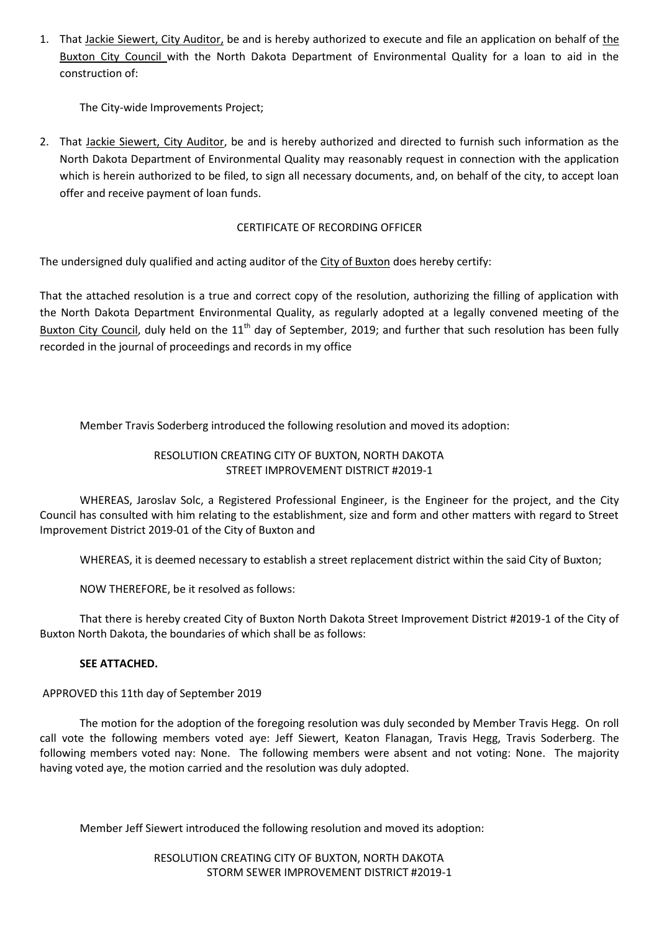1. That Jackie Siewert, City Auditor, be and is hereby authorized to execute and file an application on behalf of the Buxton City Council with the North Dakota Department of Environmental Quality for a loan to aid in the construction of:

The City-wide Improvements Project;

2. That Jackie Siewert, City Auditor, be and is hereby authorized and directed to furnish such information as the North Dakota Department of Environmental Quality may reasonably request in connection with the application which is herein authorized to be filed, to sign all necessary documents, and, on behalf of the city, to accept loan offer and receive payment of loan funds.

# CERTIFICATE OF RECORDING OFFICER

The undersigned duly qualified and acting auditor of the City of Buxton does hereby certify:

That the attached resolution is a true and correct copy of the resolution, authorizing the filling of application with the North Dakota Department Environmental Quality, as regularly adopted at a legally convened meeting of the Buxton City Council, duly held on the  $11<sup>th</sup>$  day of September, 2019; and further that such resolution has been fully recorded in the journal of proceedings and records in my office

Member Travis Soderberg introduced the following resolution and moved its adoption:

# RESOLUTION CREATING CITY OF BUXTON, NORTH DAKOTA STREET IMPROVEMENT DISTRICT #2019-1

WHEREAS, Jaroslav Solc, a Registered Professional Engineer, is the Engineer for the project, and the City Council has consulted with him relating to the establishment, size and form and other matters with regard to Street Improvement District 2019-01 of the City of Buxton and

WHEREAS, it is deemed necessary to establish a street replacement district within the said City of Buxton;

NOW THEREFORE, be it resolved as follows:

That there is hereby created City of Buxton North Dakota Street Improvement District #2019-1 of the City of Buxton North Dakota, the boundaries of which shall be as follows:

# **SEE ATTACHED.**

APPROVED this 11th day of September 2019

The motion for the adoption of the foregoing resolution was duly seconded by Member Travis Hegg. On roll call vote the following members voted aye: Jeff Siewert, Keaton Flanagan, Travis Hegg, Travis Soderberg. The following members voted nay: None. The following members were absent and not voting: None. The majority having voted aye, the motion carried and the resolution was duly adopted.

Member Jeff Siewert introduced the following resolution and moved its adoption:

RESOLUTION CREATING CITY OF BUXTON, NORTH DAKOTA STORM SEWER IMPROVEMENT DISTRICT #2019-1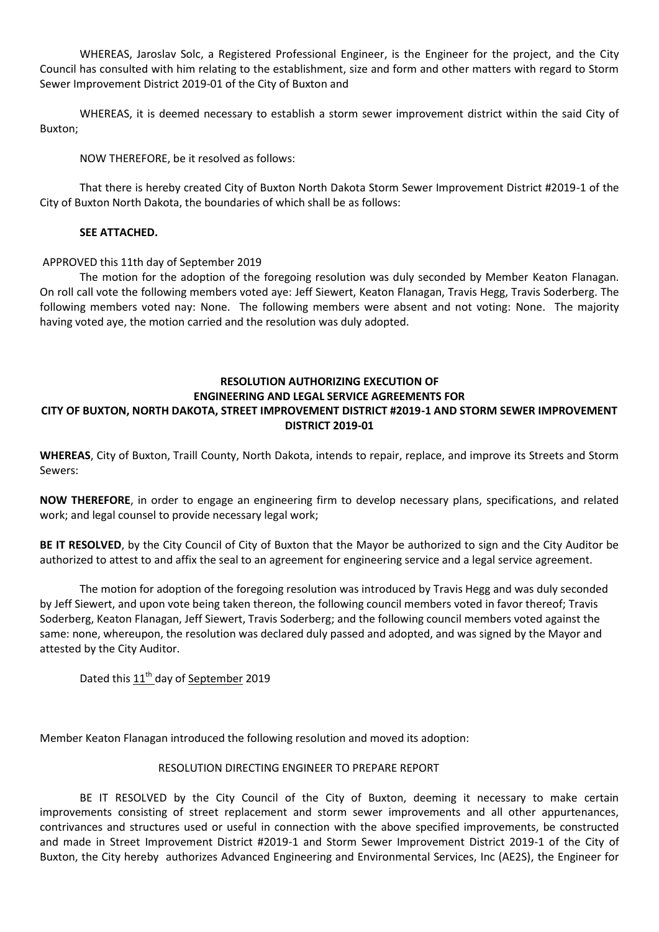WHEREAS, Jaroslav Solc, a Registered Professional Engineer, is the Engineer for the project, and the City Council has consulted with him relating to the establishment, size and form and other matters with regard to Storm Sewer Improvement District 2019-01 of the City of Buxton and

WHEREAS, it is deemed necessary to establish a storm sewer improvement district within the said City of Buxton;

NOW THEREFORE, be it resolved as follows:

That there is hereby created City of Buxton North Dakota Storm Sewer Improvement District #2019-1 of the City of Buxton North Dakota, the boundaries of which shall be as follows:

#### **SEE ATTACHED.**

### APPROVED this 11th day of September 2019

The motion for the adoption of the foregoing resolution was duly seconded by Member Keaton Flanagan. On roll call vote the following members voted aye: Jeff Siewert, Keaton Flanagan, Travis Hegg, Travis Soderberg. The following members voted nay: None. The following members were absent and not voting: None. The majority having voted aye, the motion carried and the resolution was duly adopted.

# **RESOLUTION AUTHORIZING EXECUTION OF**

#### **ENGINEERING AND LEGAL SERVICE AGREEMENTS FOR CITY OF BUXTON, NORTH DAKOTA, STREET IMPROVEMENT DISTRICT #2019-1 AND STORM SEWER IMPROVEMENT**

### **DISTRICT 2019-01**

**WHEREAS**, City of Buxton, Traill County, North Dakota, intends to repair, replace, and improve its Streets and Storm Sewers:

**NOW THEREFORE**, in order to engage an engineering firm to develop necessary plans, specifications, and related work; and legal counsel to provide necessary legal work;

**BE IT RESOLVED**, by the City Council of City of Buxton that the Mayor be authorized to sign and the City Auditor be authorized to attest to and affix the seal to an agreement for engineering service and a legal service agreement.

The motion for adoption of the foregoing resolution was introduced by Travis Hegg and was duly seconded by Jeff Siewert, and upon vote being taken thereon, the following council members voted in favor thereof; Travis Soderberg, Keaton Flanagan, Jeff Siewert, Travis Soderberg; and the following council members voted against the same: none, whereupon, the resolution was declared duly passed and adopted, and was signed by the Mayor and attested by the City Auditor.

Dated this 11<sup>th</sup> day of September 2019

Member Keaton Flanagan introduced the following resolution and moved its adoption:

#### RESOLUTION DIRECTING ENGINEER TO PREPARE REPORT

BE IT RESOLVED by the City Council of the City of Buxton, deeming it necessary to make certain improvements consisting of street replacement and storm sewer improvements and all other appurtenances, contrivances and structures used or useful in connection with the above specified improvements, be constructed and made in Street Improvement District #2019-1 and Storm Sewer Improvement District 2019-1 of the City of Buxton, the City hereby authorizes Advanced Engineering and Environmental Services, Inc (AE2S), the Engineer for